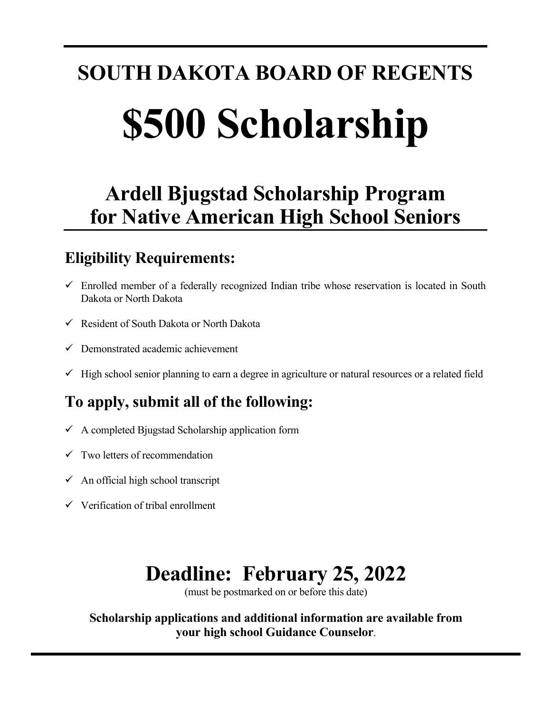# **SOUTH DAKOTA BOARD OF REGENTS \$500 Scholarship**

## **Ardell Bjugstad Scholarship Program for Native American High School Seniors**

### **Eligibility Requirements:**

- $\checkmark$  Enrolled member of a federally recognized Indian tribe whose reservation is located in South Dakota or North Dakota
- Resident of South Dakota or North Dakota
- $\checkmark$  Demonstrated academic achievement
- $\checkmark$  High school senior planning to earn a degree in agriculture or natural resources or a related field

## **To apply, submit all of the following:**

- $\checkmark$  A completed Bjugstad Scholarship application form
- $\checkmark$  Two letters of recommendation
- $\checkmark$  An official high school transcript
- $\checkmark$  Verification of tribal enrollment

# **Deadline: February 25, 2022**

(must be postmarked on or before this date)

 **Scholarship applications and additional information are available from your high school Guidance Counselor**.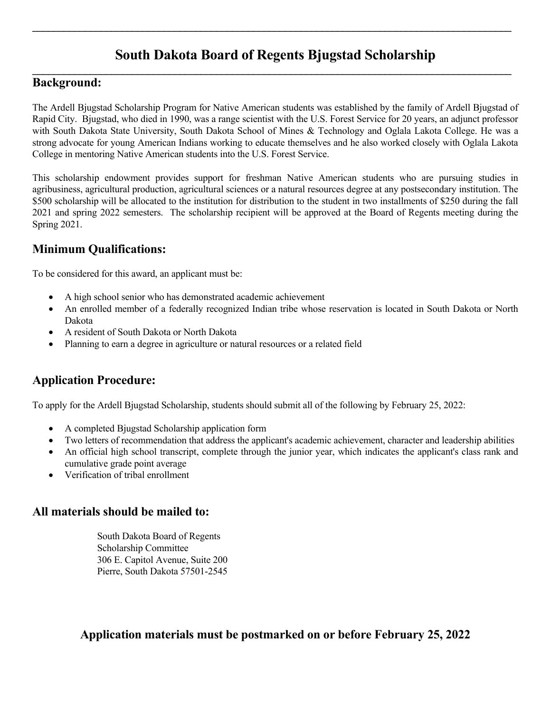#### **South Dakota Board of Regents Bjugstad Scholarship**  $\mathcal{L}_\mathcal{L} = \{ \mathcal{L}_\mathcal{L} = \{ \mathcal{L}_\mathcal{L} = \{ \mathcal{L}_\mathcal{L} = \{ \mathcal{L}_\mathcal{L} = \{ \mathcal{L}_\mathcal{L} = \{ \mathcal{L}_\mathcal{L} = \{ \mathcal{L}_\mathcal{L} = \{ \mathcal{L}_\mathcal{L} = \{ \mathcal{L}_\mathcal{L} = \{ \mathcal{L}_\mathcal{L} = \{ \mathcal{L}_\mathcal{L} = \{ \mathcal{L}_\mathcal{L} = \{ \mathcal{L}_\mathcal{L} = \{ \mathcal{L}_\mathcal{$

 $\mathcal{L}_\mathcal{L} = \mathcal{L}_\mathcal{L} = \mathcal{L}_\mathcal{L} = \mathcal{L}_\mathcal{L} = \mathcal{L}_\mathcal{L} = \mathcal{L}_\mathcal{L} = \mathcal{L}_\mathcal{L} = \mathcal{L}_\mathcal{L} = \mathcal{L}_\mathcal{L} = \mathcal{L}_\mathcal{L} = \mathcal{L}_\mathcal{L} = \mathcal{L}_\mathcal{L} = \mathcal{L}_\mathcal{L} = \mathcal{L}_\mathcal{L} = \mathcal{L}_\mathcal{L} = \mathcal{L}_\mathcal{L} = \mathcal{L}_\mathcal{L}$ 

#### **Background:**

The Ardell Bjugstad Scholarship Program for Native American students was established by the family of Ardell Bjugstad of Rapid City. Bjugstad, who died in 1990, was a range scientist with the U.S. Forest Service for 20 years, an adjunct professor with South Dakota State University, South Dakota School of Mines & Technology and Oglala Lakota College. He was a strong advocate for young American Indians working to educate themselves and he also worked closely with Oglala Lakota College in mentoring Native American students into the U.S. Forest Service.

This scholarship endowment provides support for freshman Native American students who are pursuing studies in agribusiness, agricultural production, agricultural sciences or a natural resources degree at any postsecondary institution. The \$500 scholarship will be allocated to the institution for distribution to the student in two installments of \$250 during the fall 2021 and spring 2022 semesters. The scholarship recipient will be approved at the Board of Regents meeting during the Spring 2021.

#### **Minimum Qualifications:**

To be considered for this award, an applicant must be:

- A high school senior who has demonstrated academic achievement
- An enrolled member of a federally recognized Indian tribe whose reservation is located in South Dakota or North Dakota
- A resident of South Dakota or North Dakota
- Planning to earn a degree in agriculture or natural resources or a related field

#### **Application Procedure:**

To apply for the Ardell Bjugstad Scholarship, students should submit all of the following by February 25, 2022:

- A completed Bjugstad Scholarship application form
- Two letters of recommendation that address the applicant's academic achievement, character and leadership abilities
- An official high school transcript, complete through the junior year, which indicates the applicant's class rank and cumulative grade point average
- Verification of tribal enrollment

#### **All materials should be mailed to:**

 South Dakota Board of Regents Scholarship Committee 306 E. Capitol Avenue, Suite 200 Pierre, South Dakota 57501-2545

 **Application materials must be postmarked on or before February 25, 2022**